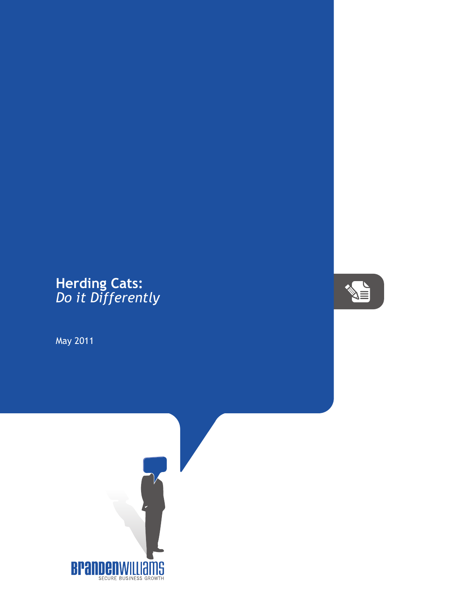## **Herding Cats:** *Do it Differently*

May 2011



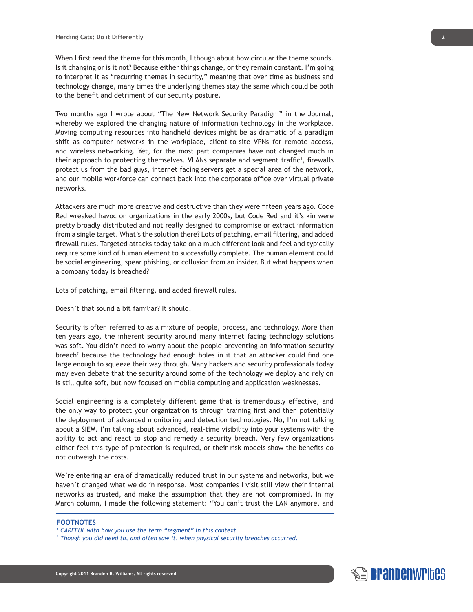When I first read the theme for this month, I though about how circular the theme sounds. Is it changing or is it not? Because either things change, or they remain constant. I'm going to interpret it as "recurring themes in security," meaning that over time as business and technology change, many times the underlying themes stay the same which could be both to the benefit and detriment of our security posture.

Two months ago I wrote about "The New Network Security Paradigm" in the Journal, whereby we explored the changing nature of information technology in the workplace. Moving computing resources into handheld devices might be as dramatic of a paradigm shift as computer networks in the workplace, client-to-site VPNs for remote access, and wireless networking. Yet, for the most part companies have not changed much in their approach to protecting themselves. VLANs separate and segment traffic<sup>1</sup>, firewalls protect us from the bad guys, internet facing servers get a special area of the network, and our mobile workforce can connect back into the corporate office over virtual private networks.

Attackers are much more creative and destructive than they were fifteen years ago. Code Red wreaked havoc on organizations in the early 2000s, but Code Red and it's kin were pretty broadly distributed and not really designed to compromise or extract information from a single target. What's the solution there? Lots of patching, email filtering, and added firewall rules. Targeted attacks today take on a much different look and feel and typically require some kind of human element to successfully complete. The human element could be social engineering, spear phishing, or collusion from an insider. But what happens when a company today is breached?

Lots of patching, email filtering, and added firewall rules.

Doesn't that sound a bit familiar? It should.

Security is often referred to as a mixture of people, process, and technology. More than ten years ago, the inherent security around many internet facing technology solutions was soft. You didn't need to worry about the people preventing an information security breach<sup>2</sup> because the technology had enough holes in it that an attacker could find one large enough to squeeze their way through. Many hackers and security professionals today may even debate that the security around some of the technology we deploy and rely on is still quite soft, but now focused on mobile computing and application weaknesses.

Social engineering is a completely different game that is tremendously effective, and the only way to protect your organization is through training first and then potentially the deployment of advanced monitoring and detection technologies. No, I'm not talking about a SIEM. I'm talking about advanced, real-time visibility into your systems with the ability to act and react to stop and remedy a security breach. Very few organizations either feel this type of protection is required, or their risk models show the benefits do not outweigh the costs.

We're entering an era of dramatically reduced trust in our systems and networks, but we haven't changed what we do in response. Most companies I visit still view their internal networks as trusted, and make the assumption that they are not compromised. In my March column, I made the following statement: "You can't trust the LAN anymore, and

## **FOOTNOTES**



*<sup>1</sup> CAREFUL with how you use the term "segment" in this context.*

*<sup>2</sup> Though you did need to, and often saw it, when physical security breaches occurred.*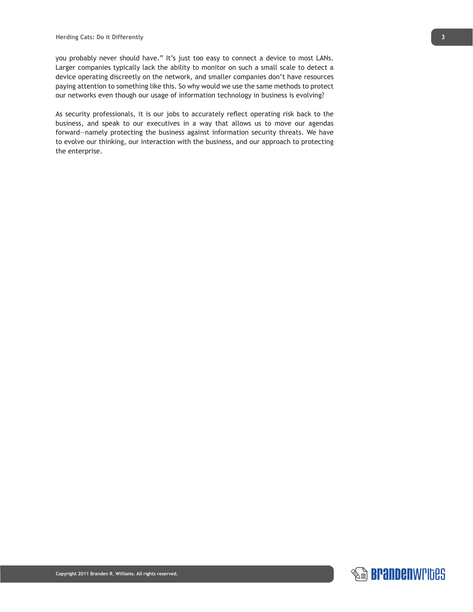you probably never should have." It's just too easy to connect a device to most LANs. Larger companies typically lack the ability to monitor on such a small scale to detect a device operating discreetly on the network, and smaller companies don't have resources paying attention to something like this. So why would we use the same methods to protect our networks even though our usage of information technology in business is evolving?

As security professionals, it is our jobs to accurately reflect operating risk back to the business, and speak to our executives in a way that allows us to move our agendas forward—namely protecting the business against information security threats. We have to evolve our thinking, our interaction with the business, and our approach to protecting the enterprise.